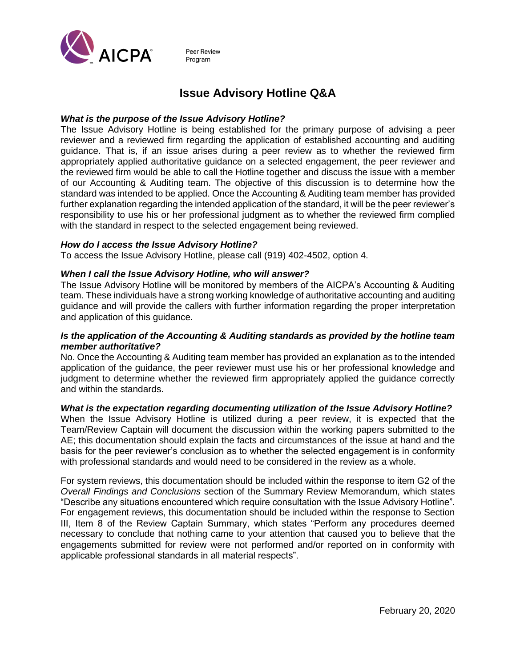

Peer Review Program

# **Issue Advisory Hotline Q&A**

### *What is the purpose of the Issue Advisory Hotline?*

The Issue Advisory Hotline is being established for the primary purpose of advising a peer reviewer and a reviewed firm regarding the application of established accounting and auditing guidance. That is, if an issue arises during a peer review as to whether the reviewed firm appropriately applied authoritative guidance on a selected engagement, the peer reviewer and the reviewed firm would be able to call the Hotline together and discuss the issue with a member of our Accounting & Auditing team. The objective of this discussion is to determine how the standard was intended to be applied. Once the Accounting & Auditing team member has provided further explanation regarding the intended application of the standard, it will be the peer reviewer's responsibility to use his or her professional judgment as to whether the reviewed firm complied with the standard in respect to the selected engagement being reviewed.

#### *How do I access the Issue Advisory Hotline?*

To access the Issue Advisory Hotline, please call (919) 402-4502, option 4.

## *When I call the Issue Advisory Hotline, who will answer?*

The Issue Advisory Hotline will be monitored by members of the AICPA's Accounting & Auditing team. These individuals have a strong working knowledge of authoritative accounting and auditing guidance and will provide the callers with further information regarding the proper interpretation and application of this guidance.

## *Is the application of the Accounting & Auditing standards as provided by the hotline team member authoritative?*

No. Once the Accounting & Auditing team member has provided an explanation as to the intended application of the guidance, the peer reviewer must use his or her professional knowledge and judgment to determine whether the reviewed firm appropriately applied the guidance correctly and within the standards.

#### *What is the expectation regarding documenting utilization of the Issue Advisory Hotline?*

When the Issue Advisory Hotline is utilized during a peer review, it is expected that the Team/Review Captain will document the discussion within the working papers submitted to the AE; this documentation should explain the facts and circumstances of the issue at hand and the basis for the peer reviewer's conclusion as to whether the selected engagement is in conformity with professional standards and would need to be considered in the review as a whole.

For system reviews, this documentation should be included within the response to item G2 of the *Overall Findings and Conclusions* section of the Summary Review Memorandum, which states "Describe any situations encountered which require consultation with the Issue Advisory Hotline". For engagement reviews, this documentation should be included within the response to Section III, Item 8 of the Review Captain Summary, which states "Perform any procedures deemed necessary to conclude that nothing came to your attention that caused you to believe that the engagements submitted for review were not performed and/or reported on in conformity with applicable professional standards in all material respects".